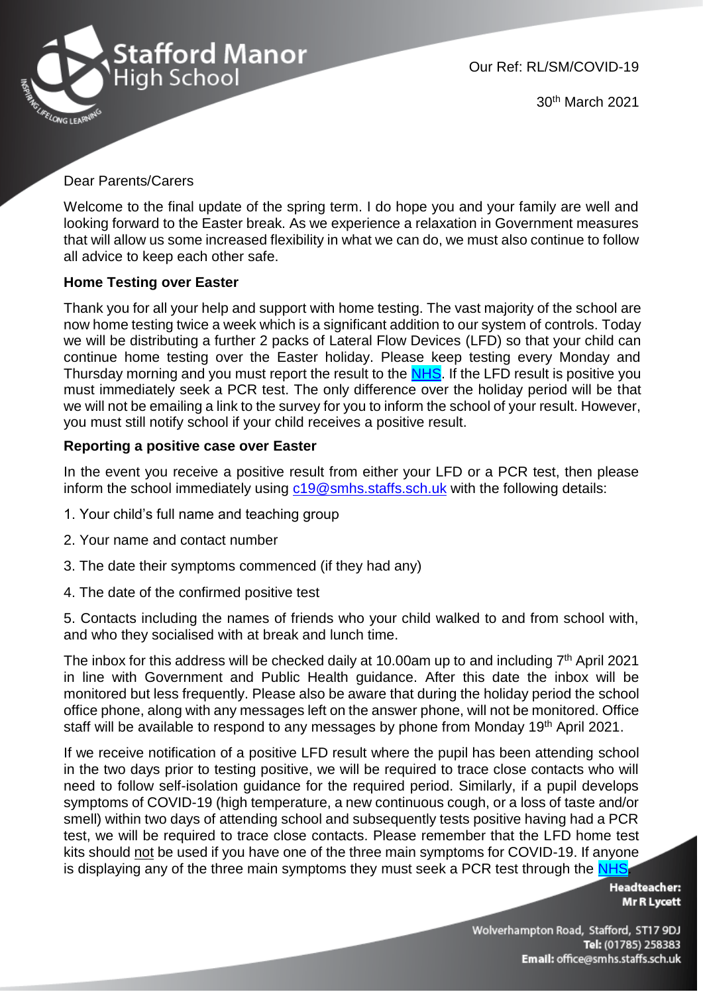

30th March 2021

## Dear Parents/Carers

Welcome to the final update of the spring term. I do hope you and your family are well and looking forward to the Easter break. As we experience a relaxation in Government measures that will allow us some increased flexibility in what we can do, we must also continue to follow all advice to keep each other safe.

## **Home Testing over Easter**

Thank you for all your help and support with home testing. The vast majority of the school are now home testing twice a week which is a significant addition to our system of controls. Today we will be distributing a further 2 packs of Lateral Flow Devices (LFD) so that your child can continue home testing over the Easter holiday. Please keep testing every Monday and Thursday morning and you must report the result to the [NHS.](https://www.gov.uk/report-covid19-result?utm_source=26%20March%202021%20C19&utm_medium=Daily%20Email%20C19&utm_campaign=DfE%20C19) If the LFD result is positive you must immediately seek a PCR test. The only difference over the holiday period will be that we will not be emailing a link to the survey for you to inform the school of your result. However, you must still notify school if your child receives a positive result.

## **Reporting a positive case over Easter**

In the event you receive a positive result from either your LFD or a PCR test, then please inform the school immediately using  $c19@smbs.staffs.sch.uk$  with the following details:

- 1. Your child's full name and teaching group
- 2. Your name and contact number
- 3. The date their symptoms commenced (if they had any)
- 4. The date of the confirmed positive test

5. Contacts including the names of friends who your child walked to and from school with, and who they socialised with at break and lunch time.

The inbox for this address will be checked daily at 10.00am up to and including  $7<sup>th</sup>$  April 2021 in line with Government and Public Health guidance. After this date the inbox will be monitored but less frequently. Please also be aware that during the holiday period the school office phone, along with any messages left on the answer phone, will not be monitored. Office staff will be available to respond to any messages by phone from Monday 19<sup>th</sup> April 2021.

If we receive notification of a positive LFD result where the pupil has been attending school in the two days prior to testing positive, we will be required to trace close contacts who will need to follow self-isolation guidance for the required period. Similarly, if a pupil develops symptoms of COVID-19 (high temperature, a new continuous cough, or a loss of taste and/or smell) within two days of attending school and subsequently tests positive having had a PCR test, we will be required to trace close contacts. Please remember that the LFD home test kits should not be used if you have one of the three main symptoms for COVID-19. If anyone is displaying any of the three main symptoms they must seek a PCR test through the [NHS.](https://www.gov.uk/get-coronavirus-test)

> **Headteacher: Mr R Lycett**

Wolverhampton Road, Stafford, ST17 9DJ Tel: (01785) 258383 Email: office@smhs.staffs.sch.uk